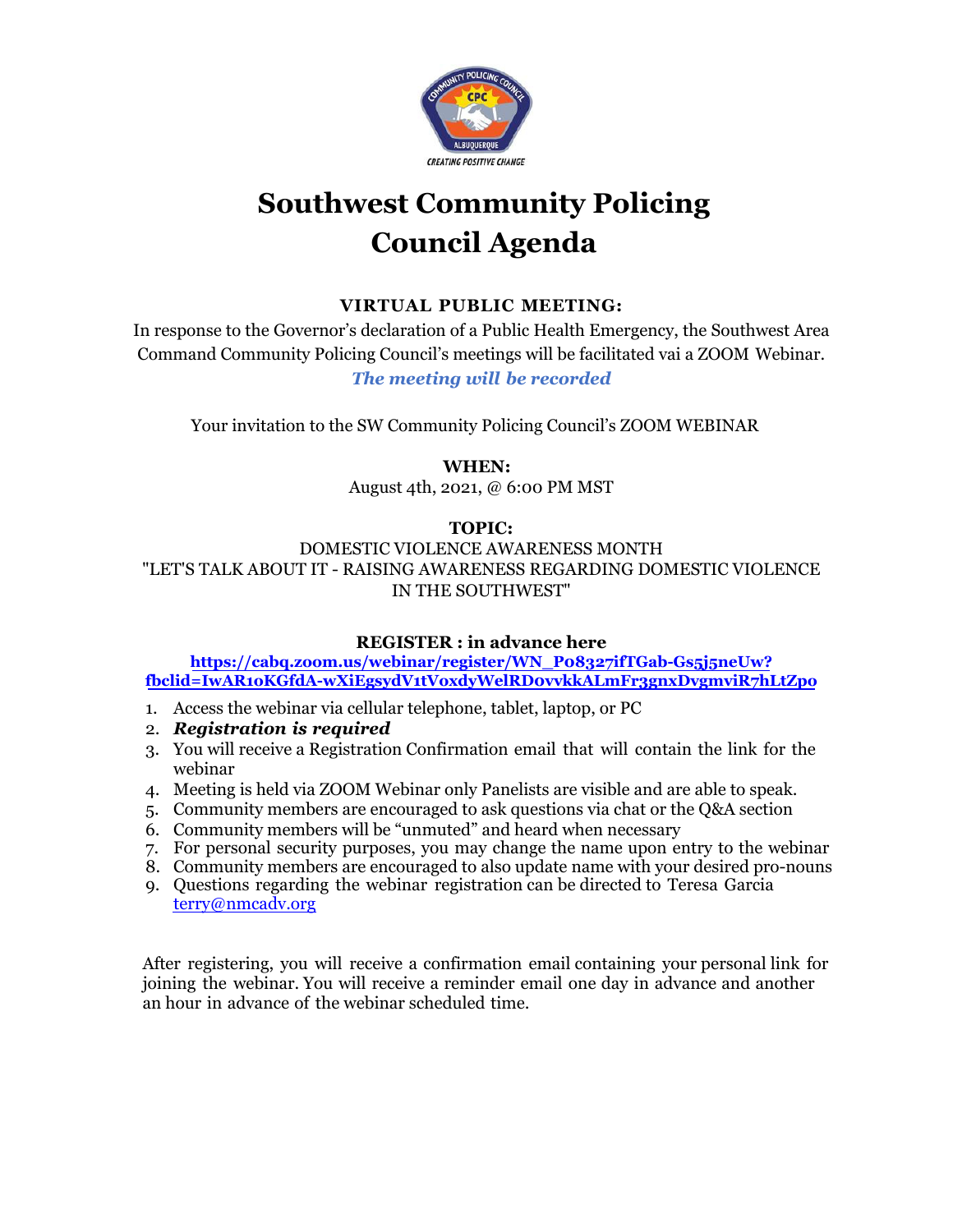

# **Southwest Community Policing Council Agenda**

### **VIRTUAL PUBLIC MEETING:**

In response to the Governor's declaration of a Public Health Emergency, the Southwest Area Command Community Policing Council's meetings will be facilitated vai a ZOOM Webinar. *The meeting will be recorded*

Your invitation to the SW Community Policing Council's ZOOM WEBINAR

 **WHEN:** 

August 4th, 2021, @ 6:00 PM MST

#### **TOPIC:**

DOMESTIC VIOLENCE AWARENESS MONTH "LET'S TALK ABOUT IT - RAISING AWARENESS REGARDING DOMESTIC VIOLENCE IN THE SOUTHWEST"

#### **REGISTER : in advance here**

#### **https://cabq.zoom.us/webinar/register/WN\_P08327ifTGab-Gs5j5neUw? fbclid=IwAR1oKGfdA-wXiEgsydV1tVoxdyWelRD0vvkkALmFr3gnxDvgmviR7hLtZpo**

- 1. Access the webinar via cellular telephone, tablet, laptop, or PC
- 2. *Registration is required*
- 3. You will receive a Registration Confirmation email that will contain the link for the webinar
- 4. Meeting is held via ZOOM Webinar only Panelists are visible and are able to speak.
- 5. Community members are encouraged to ask questions via chat or the Q&A section
- 6. Community members will be "unmuted" and heard when necessary
- 7. For personal security purposes, you may change the name upon entry to the webinar
- 8. Community members are encouraged to also update name with your desired pro-nouns
- 9. Questions regarding the webinar registration can be directed to Teresa Garcia terry@nmcadv.org

After registering, you will receive a confirmation email containing your personal link for joining the webinar. You will receive a reminder email one day in advance and another an hour in advance of the webinar scheduled time.